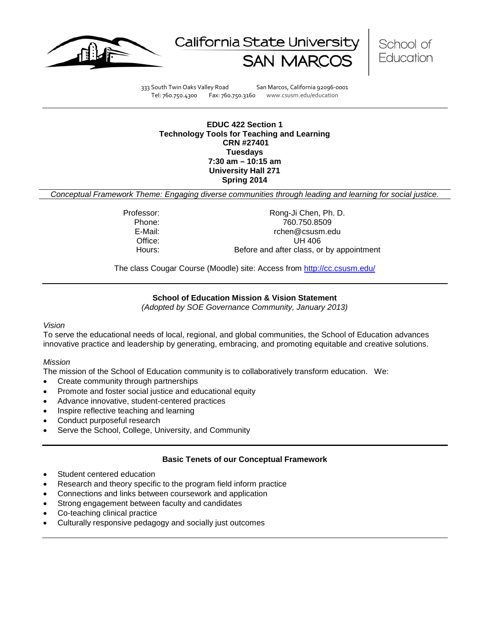





333 South Twin Oaks Valley Road San Marcos, California 92096-0001 Tel: 760.750.4300 Fax: 760.750.3160 www.csusm.edu/education

**EDUC 422 Section 1 Technology Tools for Teaching and Learning CRN #27401 Tuesdays 7:30 am – 10:15 am University Hall 271 Spring 2014** 

*Conceptual Framework Theme: Engaging diverse communities through leading and learning for social justice.*

Professor: Rong-Ji Chen, Ph. D. Phone: 760.750.8509<br>E-Mail: 760.750.8509<br>E-Mail: 760.750.8509 rchen@csusm.edu Office: UH 406 Hours: Before and after class, or by appointment

The class Cougar Course (Moodle) site: Access from<http://cc.csusm.edu/>

# **School of Education Mission & Vision Statement**

*(Adopted by SOE Governance Community, January 2013)*

#### *Vision*

To serve the educational needs of local, regional, and global communities, the School of Education advances innovative practice and leadership by generating, embracing, and promoting equitable and creative solutions.

#### *Mission*

The mission of the School of Education community is to collaboratively transform education. We:

- Create community through partnerships
- Promote and foster social justice and educational equity
- Advance innovative, student-centered practices
- Inspire reflective teaching and learning
- Conduct purposeful research
- Serve the School, College, University, and Community

# **Basic Tenets of our Conceptual Framework**

- Student centered education
- Research and theory specific to the program field inform practice
- Connections and links between coursework and application
- Strong engagement between faculty and candidates
- Co-teaching clinical practice
- Culturally responsive pedagogy and socially just outcomes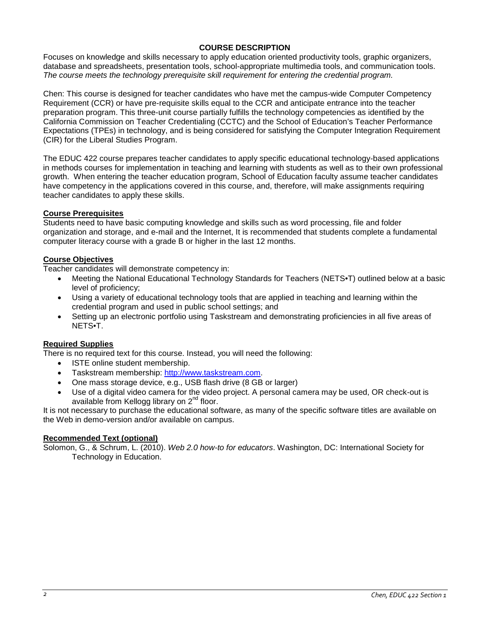# **COURSE DESCRIPTION**

Focuses on knowledge and skills necessary to apply education oriented productivity tools, graphic organizers, database and spreadsheets, presentation tools, school-appropriate multimedia tools, and communication tools. *The course meets the technology prerequisite skill requirement for entering the credential program.*

Chen: This course is designed for teacher candidates who have met the campus-wide Computer Competency Requirement (CCR) or have pre-requisite skills equal to the CCR and anticipate entrance into the teacher preparation program. This three-unit course partially fulfills the technology competencies as identified by the California Commission on Teacher Credentialing (CCTC) and the School of Education's Teacher Performance Expectations (TPEs) in technology, and is being considered for satisfying the Computer Integration Requirement (CIR) for the Liberal Studies Program.

The EDUC 422 course prepares teacher candidates to apply specific educational technology-based applications in methods courses for implementation in teaching and learning with students as well as to their own professional growth. When entering the teacher education program, School of Education faculty assume teacher candidates have competency in the applications covered in this course, and, therefore, will make assignments requiring teacher candidates to apply these skills.

# **Course Prerequisites**

Students need to have basic computing knowledge and skills such as word processing, file and folder organization and storage, and e-mail and the Internet, It is recommended that students complete a fundamental computer literacy course with a grade B or higher in the last 12 months.

## **Course Objectives**

Teacher candidates will demonstrate competency in:

- Meeting the National Educational Technology Standards for Teachers (NETS•T) outlined below at a basic level of proficiency;
- Using a variety of educational technology tools that are applied in teaching and learning within the credential program and used in public school settings; and
- Setting up an electronic portfolio using Taskstream and demonstrating proficiencies in all five areas of NETS•T.

# **Required Supplies**

There is no required text for this course. Instead, you will need the following:

- ISTE online student membership.
- Taskstream membership: [http://www.taskstream.com.](http://www.taskstream.com/)
- One mass storage device, e.g., USB flash drive (8 GB or larger)
- Use of a digital video camera for the video project. A personal camera may be used, OR check-out is available from Kellogg library on 2<sup>nd</sup> floor.

It is not necessary to purchase the educational software, as many of the specific software titles are available on the Web in demo-version and/or available on campus.

# **Recommended Text (optional)**

Solomon, G., & Schrum, L. (2010). *Web 2.0 how-to for educators*. Washington, DC: International Society for Technology in Education.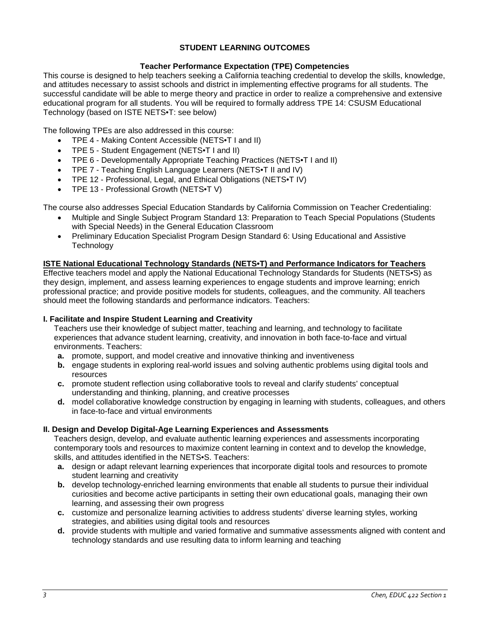# **STUDENT LEARNING OUTCOMES**

# **Teacher Performance Expectation (TPE) Competencies**

This course is designed to help teachers seeking a California teaching credential to develop the skills, knowledge, and attitudes necessary to assist schools and district in implementing effective programs for all students. The successful candidate will be able to merge theory and practice in order to realize a comprehensive and extensive educational program for all students. You will be required to formally address TPE 14: CSUSM Educational Technology (based on ISTE NETS•T: see below)

The following TPEs are also addressed in this course:

- TPE 4 Making Content Accessible (NETS•T I and II)
- TPE 5 Student Engagement (NETS•T I and II)
- TPE 6 Developmentally Appropriate Teaching Practices (NETS•T I and II)
- TPE 7 Teaching English Language Learners (NETS•T II and IV)
- TPE 12 Professional, Legal, and Ethical Obligations (NETS•T IV)
- TPE 13 Professional Growth (NETS•T V)

The course also addresses Special Education Standards by California Commission on Teacher Credentialing:

- Multiple and Single Subject Program Standard 13: Preparation to Teach Special Populations (Students with Special Needs) in the General Education Classroom
- Preliminary Education Specialist Program Design Standard 6: Using Educational and Assistive **Technology**

#### **ISTE National Educational Technology Standards (NETS•T) and Performance Indicators for Teachers**

Effective teachers model and apply the National Educational Technology Standards for Students (NETS•S) as they design, implement, and assess learning experiences to engage students and improve learning; enrich professional practice; and provide positive models for students, colleagues, and the community. All teachers should meet the following standards and performance indicators. Teachers:

#### **I. Facilitate and Inspire Student Learning and Creativity**

Teachers use their knowledge of subject matter, teaching and learning, and technology to facilitate experiences that advance student learning, creativity, and innovation in both face-to-face and virtual environments. Teachers:

- **a.** promote, support, and model creative and innovative thinking and inventiveness
- **b.** engage students in exploring real-world issues and solving authentic problems using digital tools and resources
- **c.** promote student reflection using collaborative tools to reveal and clarify students' conceptual understanding and thinking, planning, and creative processes
- **d.** model collaborative knowledge construction by engaging in learning with students, colleagues, and others in face-to-face and virtual environments

#### **II. Design and Develop Digital-Age Learning Experiences and Assessments**

Teachers design, develop, and evaluate authentic learning experiences and assessments incorporating contemporary tools and resources to maximize content learning in context and to develop the knowledge, skills, and attitudes identified in the NETS•S. Teachers:

- **a.** design or adapt relevant learning experiences that incorporate digital tools and resources to promote student learning and creativity
- **b.** develop technology-enriched learning environments that enable all students to pursue their individual curiosities and become active participants in setting their own educational goals, managing their own learning, and assessing their own progress
- **c.** customize and personalize learning activities to address students' diverse learning styles, working strategies, and abilities using digital tools and resources
- **d.** provide students with multiple and varied formative and summative assessments aligned with content and technology standards and use resulting data to inform learning and teaching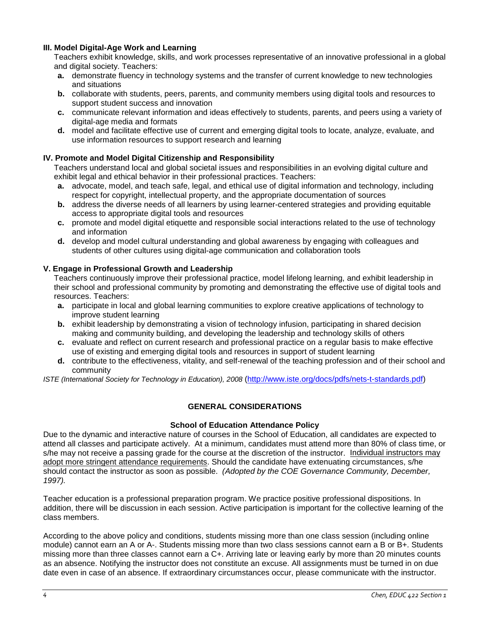## **III. Model Digital-Age Work and Learning**

Teachers exhibit knowledge, skills, and work processes representative of an innovative professional in a global and digital society. Teachers:

- **a.** demonstrate fluency in technology systems and the transfer of current knowledge to new technologies and situations
- **b.** collaborate with students, peers, parents, and community members using digital tools and resources to support student success and innovation
- **c.** communicate relevant information and ideas effectively to students, parents, and peers using a variety of digital-age media and formats
- **d.** model and facilitate effective use of current and emerging digital tools to locate, analyze, evaluate, and use information resources to support research and learning

# **IV. Promote and Model Digital Citizenship and Responsibility**

Teachers understand local and global societal issues and responsibilities in an evolving digital culture and exhibit legal and ethical behavior in their professional practices. Teachers:

- **a.** advocate, model, and teach safe, legal, and ethical use of digital information and technology, including respect for copyright, intellectual property, and the appropriate documentation of sources
- **b.** address the diverse needs of all learners by using learner-centered strategies and providing equitable access to appropriate digital tools and resources
- **c.** promote and model digital etiquette and responsible social interactions related to the use of technology and information
- **d.** develop and model cultural understanding and global awareness by engaging with colleagues and students of other cultures using digital-age communication and collaboration tools

## **V. Engage in Professional Growth and Leadership**

Teachers continuously improve their professional practice, model lifelong learning, and exhibit leadership in their school and professional community by promoting and demonstrating the effective use of digital tools and resources. Teachers:

- **a.** participate in local and global learning communities to explore creative applications of technology to improve student learning
- **b.** exhibit leadership by demonstrating a vision of technology infusion, participating in shared decision making and community building, and developing the leadership and technology skills of others
- **c.** evaluate and reflect on current research and professional practice on a regular basis to make effective use of existing and emerging digital tools and resources in support of student learning
- **d.** contribute to the effectiveness, vitality, and self-renewal of the teaching profession and of their school and community

*ISTE (International Society for Technology in Education), 2008* [\(http://www.iste.org/docs/pdfs/nets-t-standards.pdf\)](http://www.iste.org/docs/pdfs/nets-t-standards.pdf)

# **GENERAL CONSIDERATIONS**

#### **School of Education Attendance Policy**

Due to the dynamic and interactive nature of courses in the School of Education, all candidates are expected to attend all classes and participate actively. At a minimum, candidates must attend more than 80% of class time, or s/he may not receive a passing grade for the course at the discretion of the instructor. Individual instructors may adopt more stringent attendance requirements. Should the candidate have extenuating circumstances, s/he should contact the instructor as soon as possible. *(Adopted by the COE Governance Community, December, 1997).*

Teacher education is a professional preparation program. We practice positive professional dispositions. In addition, there will be discussion in each session. Active participation is important for the collective learning of the class members.

According to the above policy and conditions, students missing more than one class session (including online module) cannot earn an A or A-. Students missing more than two class sessions cannot earn a B or B+. Students missing more than three classes cannot earn a C+. Arriving late or leaving early by more than 20 minutes counts as an absence. Notifying the instructor does not constitute an excuse. All assignments must be turned in on due date even in case of an absence. If extraordinary circumstances occur, please communicate with the instructor.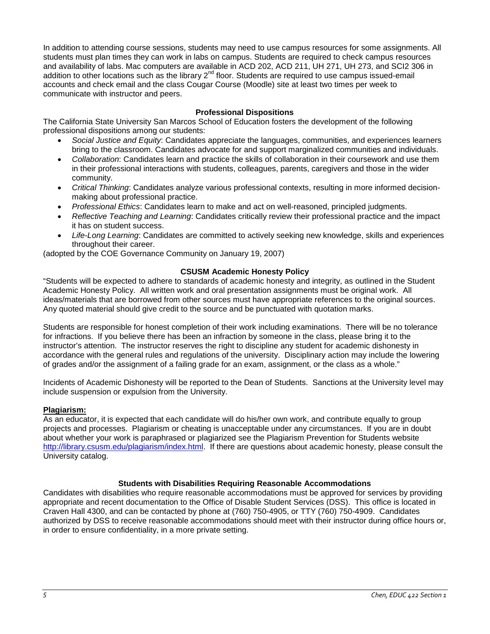In addition to attending course sessions, students may need to use campus resources for some assignments. All students must plan times they can work in labs on campus. Students are required to check campus resources and availability of labs. Mac computers are available in ACD 202, ACD 211, UH 271, UH 273, and SCI2 306 in addition to other locations such as the library 2<sup>nd</sup> floor. Students are required to use campus issued-email accounts and check email and the class Cougar Course (Moodle) site at least two times per week to communicate with instructor and peers.

# **Professional Dispositions**

The California State University San Marcos School of Education fosters the development of the following professional dispositions among our students:

- *Social Justice and Equity*: Candidates appreciate the languages, communities, and experiences learners bring to the classroom. Candidates advocate for and support marginalized communities and individuals.
- *Collaboration*: Candidates learn and practice the skills of collaboration in their coursework and use them in their professional interactions with students, colleagues, parents, caregivers and those in the wider community.
- *Critical Thinking*: Candidates analyze various professional contexts, resulting in more informed decisionmaking about professional practice.
- *Professional Ethics*: Candidates learn to make and act on well-reasoned, principled judgments.
- *Reflective Teaching and Learning*: Candidates critically review their professional practice and the impact it has on student success.
- *Life-Long Learning*: Candidates are committed to actively seeking new knowledge, skills and experiences throughout their career.

(adopted by the COE Governance Community on January 19, 2007)

#### **CSUSM Academic Honesty Policy**

"Students will be expected to adhere to standards of academic honesty and integrity, as outlined in the Student Academic Honesty Policy. All written work and oral presentation assignments must be original work. All ideas/materials that are borrowed from other sources must have appropriate references to the original sources. Any quoted material should give credit to the source and be punctuated with quotation marks.

Students are responsible for honest completion of their work including examinations. There will be no tolerance for infractions. If you believe there has been an infraction by someone in the class, please bring it to the instructor's attention. The instructor reserves the right to discipline any student for academic dishonesty in accordance with the general rules and regulations of the university. Disciplinary action may include the lowering of grades and/or the assignment of a failing grade for an exam, assignment, or the class as a whole."

Incidents of Academic Dishonesty will be reported to the Dean of Students. Sanctions at the University level may include suspension or expulsion from the University.

#### **Plagiarism:**

As an educator, it is expected that each candidate will do his/her own work, and contribute equally to group projects and processes. Plagiarism or cheating is unacceptable under any circumstances. If you are in doubt about whether your work is paraphrased or plagiarized see the Plagiarism Prevention for Students website [http://library.csusm.edu/plagiarism/index.html.](http://library.csusm.edu/plagiarism/index.html) If there are questions about academic honesty, please consult the University catalog.

#### **Students with Disabilities Requiring Reasonable Accommodations**

Candidates with disabilities who require reasonable accommodations must be approved for services by providing appropriate and recent documentation to the Office of Disable Student Services (DSS). This office is located in Craven Hall 4300, and can be contacted by phone at (760) 750-4905, or TTY (760) 750-4909. Candidates authorized by DSS to receive reasonable accommodations should meet with their instructor during office hours or, in order to ensure confidentiality, in a more private setting.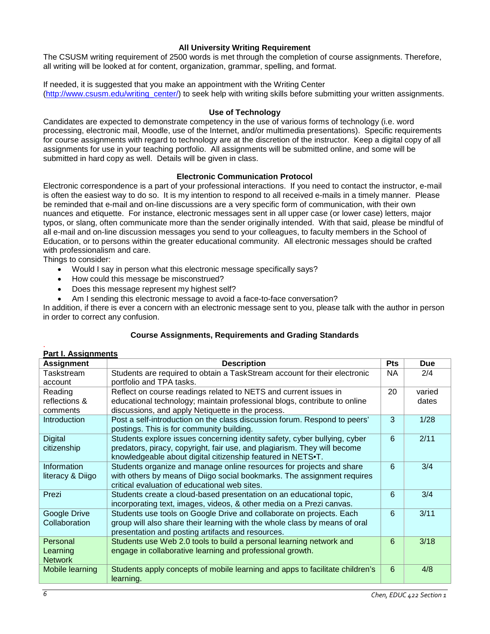# **All University Writing Requirement**

The CSUSM writing requirement of 2500 words is met through the completion of course assignments. Therefore, all writing will be looked at for content, organization, grammar, spelling, and format.

If needed, it is suggested that you make an appointment with the Writing Center [\(http://www.csusm.edu/writing\\_center/\)](http://www.csusm.edu/writing_center/) to seek help with writing skills before submitting your written assignments.

### **Use of Technology**

Candidates are expected to demonstrate competency in the use of various forms of technology (i.e. word processing, electronic mail, Moodle, use of the Internet, and/or multimedia presentations). Specific requirements for course assignments with regard to technology are at the discretion of the instructor. Keep a digital copy of all assignments for use in your teaching portfolio. All assignments will be submitted online, and some will be submitted in hard copy as well. Details will be given in class.

## **Electronic Communication Protocol**

Electronic correspondence is a part of your professional interactions. If you need to contact the instructor, e-mail is often the easiest way to do so. It is my intention to respond to all received e-mails in a timely manner. Please be reminded that e-mail and on-line discussions are a very specific form of communication, with their own nuances and etiquette. For instance, electronic messages sent in all upper case (or lower case) letters, major typos, or slang, often communicate more than the sender originally intended. With that said, please be mindful of all e-mail and on-line discussion messages you send to your colleagues, to faculty members in the School of Education, or to persons within the greater educational community. All electronic messages should be crafted with professionalism and care.

Things to consider:

- Would I say in person what this electronic message specifically says?
- How could this message be misconstrued?
- Does this message represent my highest self?
- Am I sending this electronic message to avoid a face-to-face conversation?

In addition, if there is ever a concern with an electronic message sent to you, please talk with the author in person in order to correct any confusion.

# **Course Assignments, Requirements and Grading Standards**

#### . **Part I. Assignments**

| <b>Assignment</b>   | <b>Description</b>                                                           | <b>Pts</b> | <b>Due</b> |
|---------------------|------------------------------------------------------------------------------|------------|------------|
| Taskstream          | Students are required to obtain a TaskStream account for their electronic    | NA.        | 2/4        |
| account             | portfolio and TPA tasks.                                                     |            |            |
| Reading             | Reflect on course readings related to NETS and current issues in             | 20         | varied     |
| reflections &       | educational technology; maintain professional blogs, contribute to online    |            | dates      |
| comments            | discussions, and apply Netiquette in the process.                            |            |            |
| <b>Introduction</b> | Post a self-introduction on the class discussion forum. Respond to peers'    | 3          | 1/28       |
|                     | postings. This is for community building.                                    |            |            |
| <b>Digital</b>      | Students explore issues concerning identity safety, cyber bullying, cyber    | 6          | 2/11       |
| citizenship         | predators, piracy, copyright, fair use, and plagiarism. They will become     |            |            |
|                     | knowledgeable about digital citizenship featured in NETS.T.                  |            |            |
| Information         | Students organize and manage online resources for projects and share         | 6          | 3/4        |
| literacy & Diigo    | with others by means of Diigo social bookmarks. The assignment requires      |            |            |
|                     | critical evaluation of educational web sites.                                |            |            |
| Prezi               | Students create a cloud-based presentation on an educational topic,          | 6          | 3/4        |
|                     | incorporating text, images, videos, & other media on a Prezi canvas.         |            |            |
| Google Drive        | Students use tools on Google Drive and collaborate on projects. Each         | 6          | 3/11       |
| Collaboration       | group will also share their learning with the whole class by means of oral   |            |            |
|                     | presentation and posting artifacts and resources.                            |            |            |
| Personal            | Students use Web 2.0 tools to build a personal learning network and          | 6          | 3/18       |
| Learning            | engage in collaborative learning and professional growth.                    |            |            |
| <b>Network</b>      |                                                                              |            |            |
| Mobile learning     | Students apply concepts of mobile learning and apps to facilitate children's | 6          | 4/8        |
|                     | learning.                                                                    |            |            |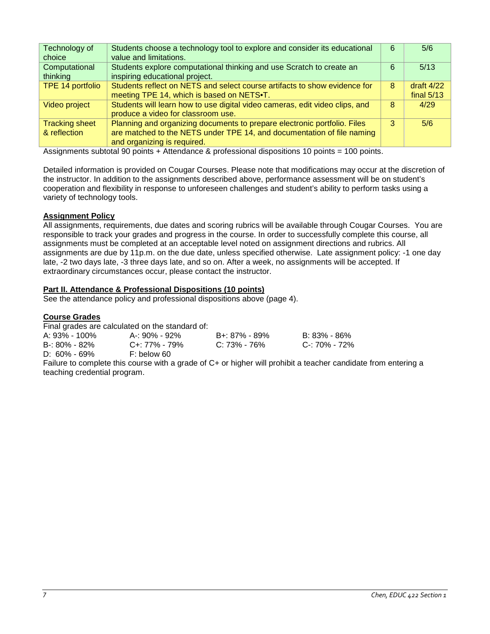| Technology of<br>choice               | Students choose a technology tool to explore and consider its educational<br>value and limitations.                                                                               | 6 | 5/6                          |
|---------------------------------------|-----------------------------------------------------------------------------------------------------------------------------------------------------------------------------------|---|------------------------------|
| Computational<br>thinking             | Students explore computational thinking and use Scratch to create an<br>inspiring educational project.                                                                            | 6 | 5/13                         |
| TPE 14 portfolio                      | Students reflect on NETS and select course artifacts to show evidence for<br>meeting TPE 14, which is based on NETS.                                                              | 8 | draft $4/22$<br>final $5/13$ |
| Video project                         | Students will learn how to use digital video cameras, edit video clips, and<br>produce a video for classroom use.                                                                 | 8 | 4/29                         |
| <b>Tracking sheet</b><br>& reflection | Planning and organizing documents to prepare electronic portfolio. Files<br>are matched to the NETS under TPE 14, and documentation of file naming<br>and organizing is required. | 3 | 5/6                          |

Assignments subtotal 90 points + Attendance & professional dispositions 10 points = 100 points.

Detailed information is provided on Cougar Courses. Please note that modifications may occur at the discretion of the instructor. In addition to the assignments described above, performance assessment will be on student's cooperation and flexibility in response to unforeseen challenges and student's ability to perform tasks using a variety of technology tools.

# **Assignment Policy**

All assignments, requirements, due dates and scoring rubrics will be available through Cougar Courses. You are responsible to track your grades and progress in the course. In order to successfully complete this course, all assignments must be completed at an acceptable level noted on assignment directions and rubrics. All assignments are due by 11p.m. on the due date, unless specified otherwise. Late assignment policy: -1 one day late, -2 two days late, -3 three days late, and so on. After a week, no assignments will be accepted. If extraordinary circumstances occur, please contact the instructor.

## **Part II. Attendance & Professional Dispositions (10 points)**

See the attendance policy and professional dispositions above (page 4).

#### **Course Grades**

Final grades are calculated on the standard of:

| A: 93% - 100% | A-: 90% - 92%       | B+: 87% - 89%   | B: 83% - 86%  |
|---------------|---------------------|-----------------|---------------|
| B-: 80% - 82% | $C_{+}$ : 77% - 79% | $C: 73\%$ - 76% | C-: 70% - 72% |
| D: 60% - 69%  | F: below 60         |                 |               |

Failure to complete this course with a grade of C+ or higher will prohibit a teacher candidate from entering a teaching credential program.